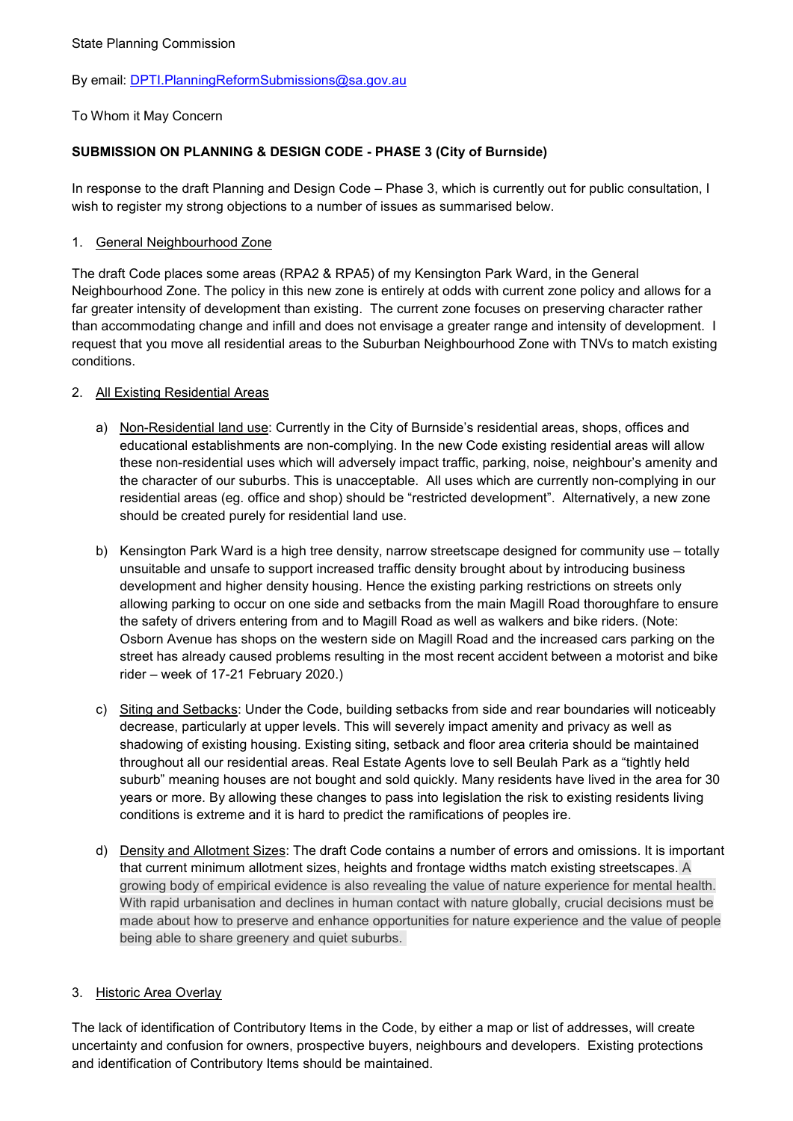## By email: [DPTI.PlanningReformSubmissions@sa.gov.au](mailto:DPTI.PlanningReformSubmissions@sa.gov.au)

## To Whom it May Concern

# **SUBMISSION ON PLANNING & DESIGN CODE - PHASE 3 (City of Burnside)**

In response to the draft Planning and Design Code – Phase 3, which is currently out for public consultation, I wish to register my strong objections to a number of issues as summarised below.

## 1. General Neighbourhood Zone

The draft Code places some areas (RPA2 & RPA5) of my Kensington Park Ward, in the General Neighbourhood Zone. The policy in this new zone is entirely at odds with current zone policy and allows for a far greater intensity of development than existing. The current zone focuses on preserving character rather than accommodating change and infill and does not envisage a greater range and intensity of development. I request that you move all residential areas to the Suburban Neighbourhood Zone with TNVs to match existing conditions.

## 2. All Existing Residential Areas

- a) Non-Residential land use: Currently in the City of Burnside's residential areas, shops, offices and educational establishments are non-complying. In the new Code existing residential areas will allow these non-residential uses which will adversely impact traffic, parking, noise, neighbour's amenity and the character of our suburbs. This is unacceptable. All uses which are currently non-complying in our residential areas (eg. office and shop) should be "restricted development". Alternatively, a new zone should be created purely for residential land use.
- b) Kensington Park Ward is a high tree density, narrow streetscape designed for community use totally unsuitable and unsafe to support increased traffic density brought about by introducing business development and higher density housing. Hence the existing parking restrictions on streets only allowing parking to occur on one side and setbacks from the main Magill Road thoroughfare to ensure the safety of drivers entering from and to Magill Road as well as walkers and bike riders. (Note: Osborn Avenue has shops on the western side on Magill Road and the increased cars parking on the street has already caused problems resulting in the most recent accident between a motorist and bike rider – week of 17-21 February 2020.)
- c) Siting and Setbacks: Under the Code, building setbacks from side and rear boundaries will noticeably decrease, particularly at upper levels. This will severely impact amenity and privacy as well as shadowing of existing housing. Existing siting, setback and floor area criteria should be maintained throughout all our residential areas. Real Estate Agents love to sell Beulah Park as a "tightly held suburb" meaning houses are not bought and sold quickly. Many residents have lived in the area for 30 years or more. By allowing these changes to pass into legislation the risk to existing residents living conditions is extreme and it is hard to predict the ramifications of peoples ire.
- d) Density and Allotment Sizes: The draft Code contains a number of errors and omissions. It is important that current minimum allotment sizes, heights and frontage widths match existing streetscapes. A growing body of empirical evidence is also revealing the value of nature experience for mental health. With rapid urbanisation and declines in human contact with nature globally, crucial decisions must be made about how to preserve and enhance opportunities for nature experience and the value of people being able to share greenery and quiet suburbs.

## 3. Historic Area Overlay

The lack of identification of Contributory Items in the Code, by either a map or list of addresses, will create uncertainty and confusion for owners, prospective buyers, neighbours and developers. Existing protections and identification of Contributory Items should be maintained.